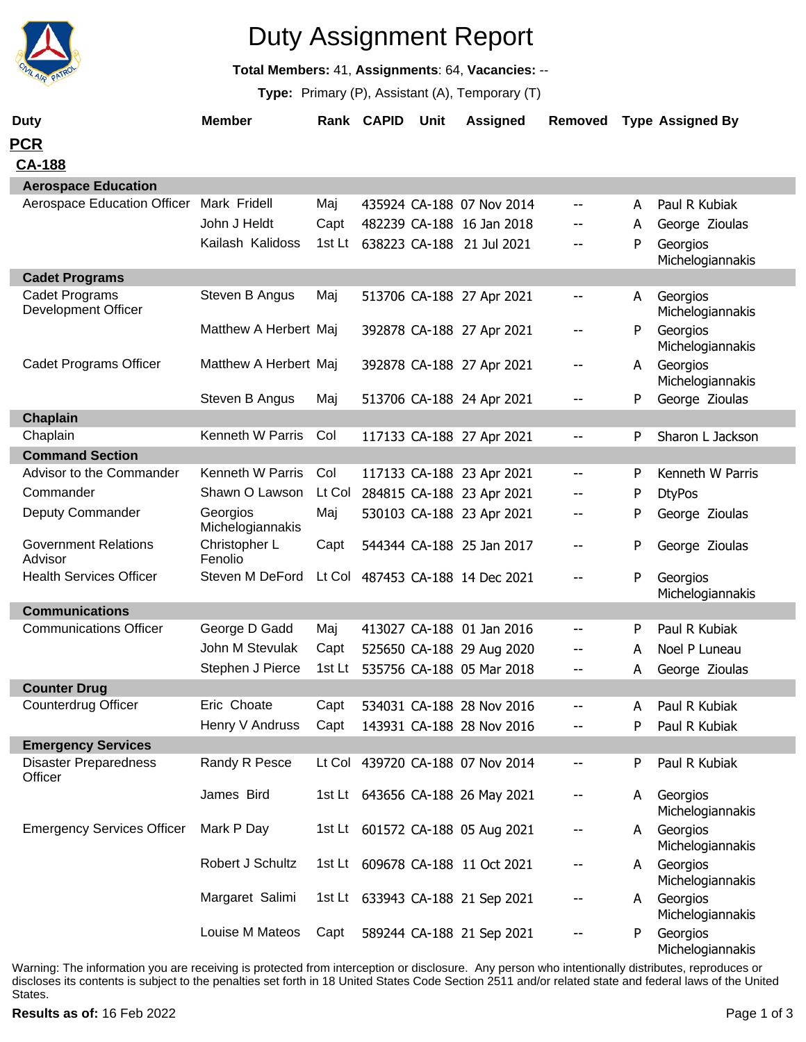

# Duty Assignment Report

**Total Members:** 41, **Assignments**: 64, **Vacancies:** --

**Type:** Primary (P), Assistant (A), Temporary (T)

| <b>Duty</b>                                  | <b>Member</b>                |        | Rank CAPID | Unit | <b>Assigned</b>                  | Removed                  |   | <b>Type Assigned By</b>      |
|----------------------------------------------|------------------------------|--------|------------|------|----------------------------------|--------------------------|---|------------------------------|
| <b>PCR</b>                                   |                              |        |            |      |                                  |                          |   |                              |
| <b>CA-188</b>                                |                              |        |            |      |                                  |                          |   |                              |
| <b>Aerospace Education</b>                   |                              |        |            |      |                                  |                          |   |                              |
| Aerospace Education Officer                  | Mark Fridell                 | Maj    |            |      | 435924 CA-188 07 Nov 2014        | --                       | A | Paul R Kubiak                |
|                                              | John J Heldt                 | Capt   |            |      | 482239 CA-188 16 Jan 2018        |                          | A | George Zioulas               |
|                                              | Kailash Kalidoss             |        |            |      | 1st Lt 638223 CA-188 21 Jul 2021 |                          | P | Georgios<br>Michelogiannakis |
| <b>Cadet Programs</b>                        |                              |        |            |      |                                  |                          |   |                              |
| Cadet Programs<br><b>Development Officer</b> | Steven B Angus               | Maj    |            |      | 513706 CA-188 27 Apr 2021        | $\overline{\phantom{a}}$ | A | Georgios<br>Michelogiannakis |
|                                              | Matthew A Herbert Maj        |        |            |      | 392878 CA-188 27 Apr 2021        | --                       | P | Georgios<br>Michelogiannakis |
| <b>Cadet Programs Officer</b>                | Matthew A Herbert Maj        |        |            |      | 392878 CA-188 27 Apr 2021        | --                       | A | Georgios<br>Michelogiannakis |
|                                              | Steven B Angus               | Maj    |            |      | 513706 CA-188 24 Apr 2021        | --                       | P | George Zioulas               |
| Chaplain                                     |                              |        |            |      |                                  |                          |   |                              |
| Chaplain                                     | Kenneth W Parris             | Col    |            |      | 117133 CA-188 27 Apr 2021        | $\overline{\phantom{a}}$ | P | Sharon L Jackson             |
| <b>Command Section</b>                       |                              |        |            |      |                                  |                          |   |                              |
| Advisor to the Commander                     | Kenneth W Parris             | Col    |            |      | 117133 CA-188 23 Apr 2021        | --                       | P | Kenneth W Parris             |
| Commander                                    | Shawn O Lawson               | Lt Col |            |      | 284815 CA-188 23 Apr 2021        | --                       | P | <b>DtyPos</b>                |
| Deputy Commander                             | Georgios<br>Michelogiannakis | Maj    |            |      | 530103 CA-188 23 Apr 2021        |                          | P | George Zioulas               |
| <b>Government Relations</b><br>Advisor       | Christopher L<br>Fenolio     | Capt   |            |      | 544344 CA-188 25 Jan 2017        | --                       | P | George Zioulas               |
| <b>Health Services Officer</b>               | Steven M DeFord              |        |            |      | Lt Col 487453 CA-188 14 Dec 2021 | --                       | P | Georgios<br>Michelogiannakis |
| <b>Communications</b>                        |                              |        |            |      |                                  |                          |   |                              |
| <b>Communications Officer</b>                | George D Gadd                | Maj    |            |      | 413027 CA-188 01 Jan 2016        | --                       | P | Paul R Kubiak                |
|                                              | John M Stevulak              | Capt   |            |      | 525650 CA-188 29 Aug 2020        | --                       | A | Noel P Luneau                |
|                                              | Stephen J Pierce             | 1st Lt |            |      | 535756 CA-188 05 Mar 2018        | --                       | A | George Zioulas               |
| <b>Counter Drug</b>                          |                              |        |            |      |                                  |                          |   |                              |
| Counterdrug Officer                          | Eric Choate                  | Capt   |            |      | 534031 CA-188 28 Nov 2016        |                          | A | Paul R Kubiak                |
|                                              | Henry V Andruss              | Capt   |            |      | 143931 CA-188 28 Nov 2016        |                          | P | Paul R Kubiak                |
| <b>Emergency Services</b>                    |                              |        |            |      |                                  |                          |   |                              |
| <b>Disaster Preparedness</b><br>Officer      | Randy R Pesce                |        |            |      | Lt Col 439720 CA-188 07 Nov 2014 | --                       | P | Paul R Kubiak                |
|                                              | James Bird                   |        |            |      | 1st Lt 643656 CA-188 26 May 2021 | --                       | A | Georgios<br>Michelogiannakis |
| <b>Emergency Services Officer</b>            | Mark P Day                   |        |            |      | 1st Lt 601572 CA-188 05 Aug 2021 | --                       | A | Georgios<br>Michelogiannakis |
|                                              | Robert J Schultz             |        |            |      | 1st Lt 609678 CA-188 11 Oct 2021 | --                       | A | Georgios<br>Michelogiannakis |
|                                              | Margaret Salimi              |        |            |      | 1st Lt 633943 CA-188 21 Sep 2021 |                          | A | Georgios<br>Michelogiannakis |
|                                              | Louise M Mateos              | Capt   |            |      | 589244 CA-188 21 Sep 2021        |                          | P | Georgios<br>Michelogiannakis |

Warning: The information you are receiving is protected from interception or disclosure. Any person who intentionally distributes, reproduces or discloses its contents is subject to the penalties set forth in 18 United States Code Section 2511 and/or related state and federal laws of the United States.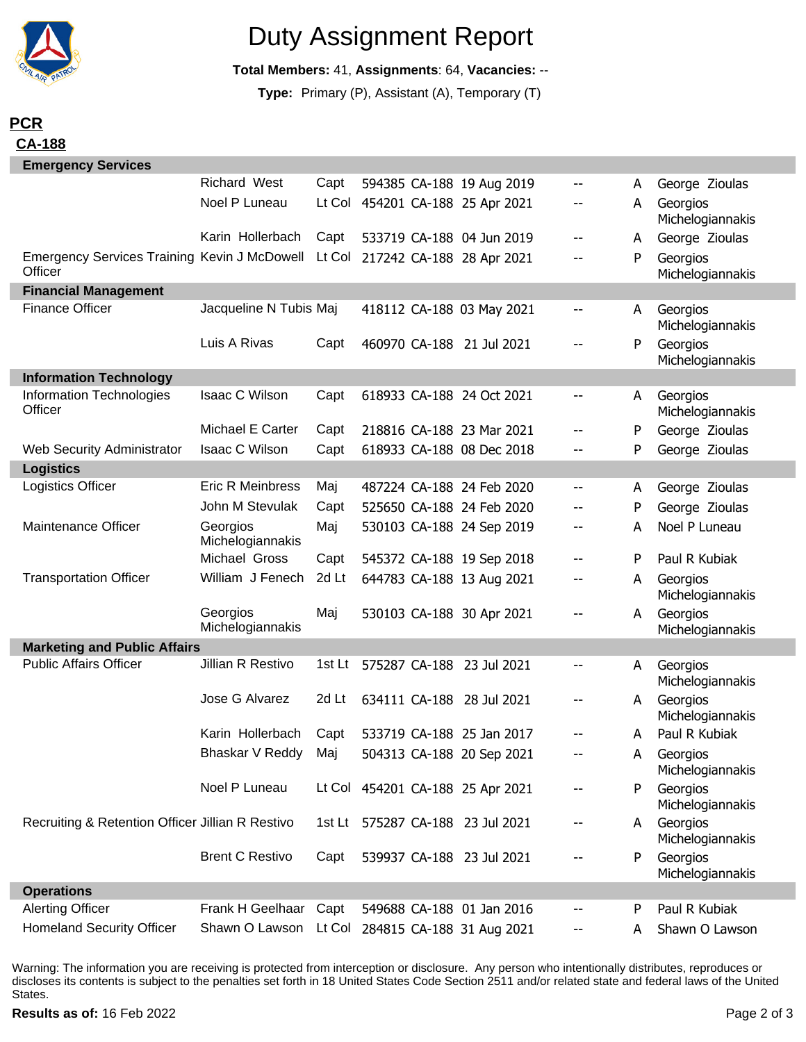

### Duty Assignment Report

**Total Members:** 41, **Assignments**: 64, **Vacancies:** --

**Type:** Primary (P), Assistant (A), Temporary (T)

### **PCR CA-188**

| <b>Emergency Services</b>                                      |                                                 |        |  |               |                                  |    |   |                              |  |
|----------------------------------------------------------------|-------------------------------------------------|--------|--|---------------|----------------------------------|----|---|------------------------------|--|
|                                                                | Richard West                                    | Capt   |  |               | 594385 CA-188 19 Aug 2019        |    | A | George Zioulas               |  |
|                                                                | Noel P Luneau                                   |        |  |               | Lt Col 454201 CA-188 25 Apr 2021 |    | А | Georgios<br>Michelogiannakis |  |
|                                                                | Karin Hollerbach                                | Capt   |  |               | 533719 CA-188 04 Jun 2019        | -- | A | George Zioulas               |  |
| <b>Emergency Services Training Kevin J McDowell</b><br>Officer |                                                 | Lt Col |  |               | 217242 CA-188 28 Apr 2021        | -- | P | Georgios<br>Michelogiannakis |  |
| <b>Financial Management</b>                                    |                                                 |        |  |               |                                  |    |   |                              |  |
| <b>Finance Officer</b>                                         | Jacqueline N Tubis Maj                          |        |  |               | 418112 CA-188 03 May 2021        | -- | A | Georgios<br>Michelogiannakis |  |
|                                                                | Luis A Rivas                                    | Capt   |  |               | 460970 CA-188 21 Jul 2021        | -- | P | Georgios<br>Michelogiannakis |  |
| <b>Information Technology</b>                                  |                                                 |        |  |               |                                  |    |   |                              |  |
| Information Technologies<br>Officer                            | Isaac C Wilson                                  | Capt   |  |               | 618933 CA-188 24 Oct 2021        | -- | A | Georgios<br>Michelogiannakis |  |
|                                                                | Michael E Carter                                | Capt   |  |               | 218816 CA-188 23 Mar 2021        |    | P | George Zioulas               |  |
| <b>Web Security Administrator</b>                              | Isaac C Wilson                                  | Capt   |  |               | 618933 CA-188 08 Dec 2018        |    | P | George Zioulas               |  |
| <b>Logistics</b>                                               |                                                 |        |  |               |                                  |    |   |                              |  |
| Logistics Officer                                              | Eric R Meinbress                                | Maj    |  |               | 487224 CA-188 24 Feb 2020        | -- | A | George Zioulas               |  |
|                                                                | John M Stevulak                                 | Capt   |  |               | 525650 CA-188 24 Feb 2020        |    | P | George Zioulas               |  |
| Maintenance Officer                                            | Georgios<br>Michelogiannakis                    | Maj    |  |               | 530103 CA-188 24 Sep 2019        |    | А | Noel P Luneau                |  |
|                                                                | Michael Gross                                   | Capt   |  |               | 545372 CA-188 19 Sep 2018        |    | P | Paul R Kubiak                |  |
| <b>Transportation Officer</b>                                  | William J Fenech                                | 2d Lt  |  |               | 644783 CA-188 13 Aug 2021        | -- | A | Georgios<br>Michelogiannakis |  |
|                                                                | Georgios<br>Michelogiannakis                    | Maj    |  |               | 530103 CA-188 30 Apr 2021        | -- | A | Georgios<br>Michelogiannakis |  |
| <b>Marketing and Public Affairs</b>                            |                                                 |        |  |               |                                  |    |   |                              |  |
| <b>Public Affairs Officer</b>                                  | Jillian R Restivo                               | 1st Lt |  | 575287 CA-188 | 23 Jul 2021                      | -- | A | Georgios<br>Michelogiannakis |  |
|                                                                | Jose G Alvarez                                  | 2d Lt  |  |               | 634111 CA-188 28 Jul 2021        | -- | A | Georgios<br>Michelogiannakis |  |
|                                                                | Karin Hollerbach                                | Capt   |  |               | 533719 CA-188 25 Jan 2017        |    | A | Paul R Kubiak                |  |
|                                                                | Bhaskar V Reddy Maj                             |        |  |               | 504313 CA-188 20 Sep 2021        |    | A | Georgios<br>Michelogiannakis |  |
|                                                                | Noel P Luneau                                   |        |  |               | Lt Col 454201 CA-188 25 Apr 2021 |    | P | Georgios<br>Michelogiannakis |  |
| Recruiting & Retention Officer Jillian R Restivo               |                                                 |        |  |               | 1st Lt 575287 CA-188 23 Jul 2021 |    | A | Georgios<br>Michelogiannakis |  |
|                                                                | <b>Brent C Restivo</b>                          | Capt   |  |               | 539937 CA-188 23 Jul 2021        |    | P | Georgios<br>Michelogiannakis |  |
| <b>Operations</b>                                              |                                                 |        |  |               |                                  |    |   |                              |  |
| <b>Alerting Officer</b>                                        | Frank H Geelhaar                                | Capt   |  |               | 549688 CA-188 01 Jan 2016        |    | P | Paul R Kubiak                |  |
| <b>Homeland Security Officer</b>                               | Shawn O Lawson Lt Col 284815 CA-188 31 Aug 2021 |        |  |               |                                  |    | A | Shawn O Lawson               |  |

Warning: The information you are receiving is protected from interception or disclosure. Any person who intentionally distributes, reproduces or discloses its contents is subject to the penalties set forth in 18 United States Code Section 2511 and/or related state and federal laws of the United States.